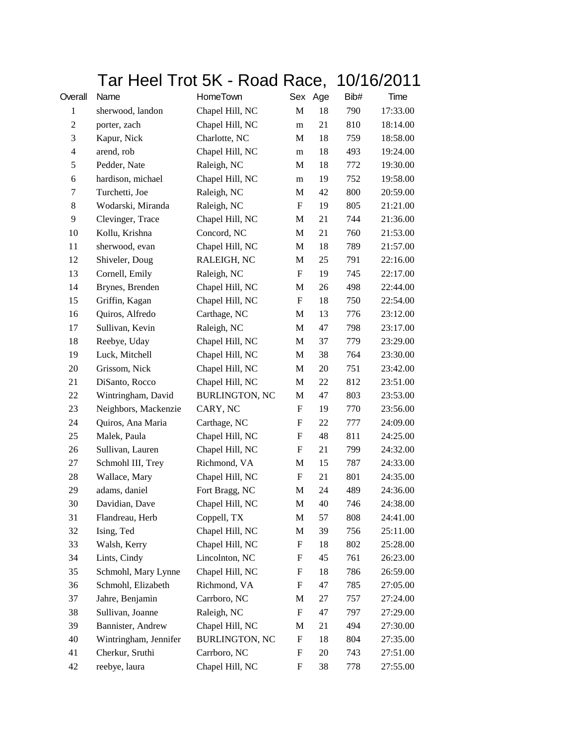## Tar Heel Trot 5K - Road Race, 10/16/2011

| Overall        | Name                  | HomeTown              | Sex                       | Age    | Bib# | Time     |
|----------------|-----------------------|-----------------------|---------------------------|--------|------|----------|
| $\mathbf{1}$   | sherwood, landon      | Chapel Hill, NC       | M                         | 18     | 790  | 17:33.00 |
| $\overline{c}$ | porter, zach          | Chapel Hill, NC       | m                         | 21     | 810  | 18:14.00 |
| 3              | Kapur, Nick           | Charlotte, NC         | M                         | 18     | 759  | 18:58.00 |
| $\overline{4}$ | arend, rob            | Chapel Hill, NC       | m                         | 18     | 493  | 19:24.00 |
| 5              | Pedder, Nate          | Raleigh, NC           | M                         | 18     | 772  | 19:30.00 |
| 6              | hardison, michael     | Chapel Hill, NC       | m                         | 19     | 752  | 19:58.00 |
| 7              | Turchetti, Joe        | Raleigh, NC           | M                         | 42     | 800  | 20:59.00 |
| 8              | Wodarski, Miranda     | Raleigh, NC           | F                         | 19     | 805  | 21:21.00 |
| 9              | Clevinger, Trace      | Chapel Hill, NC       | M                         | 21     | 744  | 21:36.00 |
| 10             | Kollu, Krishna        | Concord, NC           | M                         | 21     | 760  | 21:53.00 |
| 11             | sherwood, evan        | Chapel Hill, NC       | $\mathbf M$               | 18     | 789  | 21:57.00 |
| 12             | Shiveler, Doug        | RALEIGH, NC           | M                         | 25     | 791  | 22:16.00 |
| 13             | Cornell, Emily        | Raleigh, NC           | F                         | 19     | 745  | 22:17.00 |
| 14             | Brynes, Brenden       | Chapel Hill, NC       | M                         | 26     | 498  | 22:44.00 |
| 15             | Griffin, Kagan        | Chapel Hill, NC       | F                         | 18     | 750  | 22:54.00 |
| 16             | Quiros, Alfredo       | Carthage, NC          | M                         | 13     | 776  | 23:12.00 |
| 17             | Sullivan, Kevin       | Raleigh, NC           | M                         | 47     | 798  | 23:17.00 |
| 18             | Reebye, Uday          | Chapel Hill, NC       | M                         | 37     | 779  | 23:29.00 |
| 19             | Luck, Mitchell        | Chapel Hill, NC       | M                         | 38     | 764  | 23:30.00 |
| 20             | Grissom, Nick         | Chapel Hill, NC       | M                         | 20     | 751  | 23:42.00 |
| 21             | DiSanto, Rocco        | Chapel Hill, NC       | M                         | $22\,$ | 812  | 23:51.00 |
| 22             | Wintringham, David    | <b>BURLINGTON, NC</b> | M                         | 47     | 803  | 23:53.00 |
| 23             | Neighbors, Mackenzie  | CARY, NC              | F                         | 19     | 770  | 23:56.00 |
| 24             | Quiros, Ana Maria     | Carthage, NC          | $\boldsymbol{\mathrm{F}}$ | 22     | 777  | 24:09.00 |
| 25             | Malek, Paula          | Chapel Hill, NC       | F                         | 48     | 811  | 24:25.00 |
| 26             | Sullivan, Lauren      | Chapel Hill, NC       | $\boldsymbol{\mathrm{F}}$ | 21     | 799  | 24:32.00 |
| 27             | Schmohl III, Trey     | Richmond, VA          | M                         | 15     | 787  | 24:33.00 |
| 28             | Wallace, Mary         | Chapel Hill, NC       | ${\rm F}$                 | 21     | 801  | 24:35.00 |
| 29             | adams, daniel         | Fort Bragg, NC        | M                         | 24     | 489  | 24:36.00 |
| 30             | Davidian, Dave        | Chapel Hill, NC       | M                         | 40     | 746  | 24:38.00 |
| 31             | Flandreau, Herb       | Coppell, TX           | M                         | 57     | 808  | 24:41.00 |
| 32             | Ising, Ted            | Chapel Hill, NC       | M                         | 39     | 756  | 25:11.00 |
| 33             | Walsh, Kerry          | Chapel Hill, NC       | ${\rm F}$                 | 18     | 802  | 25:28.00 |
| 34             | Lints, Cindy          | Lincolnton, NC        | F                         | 45     | 761  | 26:23.00 |
| 35             | Schmohl, Mary Lynne   | Chapel Hill, NC       | F                         | 18     | 786  | 26:59.00 |
| 36             | Schmohl, Elizabeth    | Richmond, VA          | $\boldsymbol{\mathrm{F}}$ | 47     | 785  | 27:05.00 |
| 37             | Jahre, Benjamin       | Carrboro, NC          | M                         | 27     | 757  | 27:24.00 |
| 38             | Sullivan, Joanne      | Raleigh, NC           | F                         | 47     | 797  | 27:29.00 |
| 39             | Bannister, Andrew     | Chapel Hill, NC       | M                         | 21     | 494  | 27:30.00 |
| 40             | Wintringham, Jennifer | <b>BURLINGTON, NC</b> | ${\rm F}$                 | 18     | 804  | 27:35.00 |
| 41             | Cherkur, Sruthi       | Carrboro, NC          | ${\rm F}$                 | 20     | 743  | 27:51.00 |
| 42             | reebye, laura         | Chapel Hill, NC       | F                         | 38     | 778  | 27:55.00 |